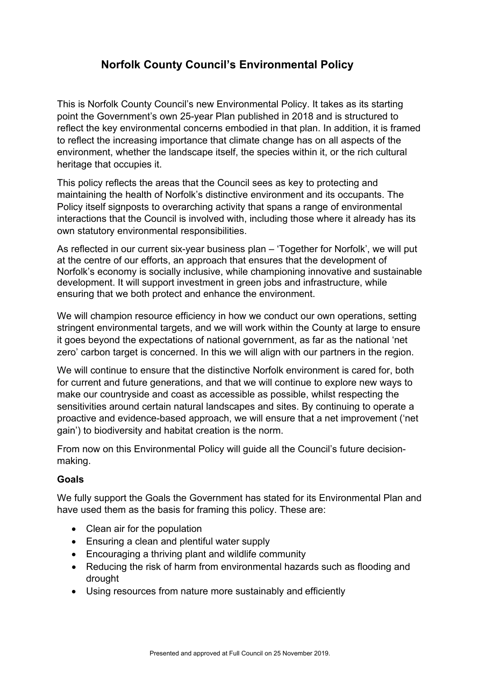# **Norfolk County Council's Environmental Policy**

This is Norfolk County Council's new Environmental Policy. It takes as its starting point the Government's own 25-year Plan published in 2018 and is structured to reflect the key environmental concerns embodied in that plan. In addition, it is framed to reflect the increasing importance that climate change has on all aspects of the environment, whether the landscape itself, the species within it, or the rich cultural heritage that occupies it.

This policy reflects the areas that the Council sees as key to protecting and maintaining the health of Norfolk's distinctive environment and its occupants. The Policy itself signposts to overarching activity that spans a range of environmental interactions that the Council is involved with, including those where it already has its own statutory environmental responsibilities.

As reflected in our current six-year business plan – 'Together for Norfolk', we will put at the centre of our efforts, an approach that ensures that the development of Norfolk's economy is socially inclusive, while championing innovative and sustainable development. It will support investment in green jobs and infrastructure, while ensuring that we both protect and enhance the environment.

We will champion resource efficiency in how we conduct our own operations, setting stringent environmental targets, and we will work within the County at large to ensure it goes beyond the expectations of national government, as far as the national 'net zero' carbon target is concerned. In this we will align with our partners in the region.

We will continue to ensure that the distinctive Norfolk environment is cared for, both for current and future generations, and that we will continue to explore new ways to make our countryside and coast as accessible as possible, whilst respecting the sensitivities around certain natural landscapes and sites. By continuing to operate a proactive and evidence-based approach, we will ensure that a net improvement ('net gain') to biodiversity and habitat creation is the norm.

From now on this Environmental Policy will guide all the Council's future decisionmaking.

## **Goals**

We fully support the Goals the Government has stated for its Environmental Plan and have used them as the basis for framing this policy. These are:

- Clean air for the population
- Ensuring a clean and plentiful water supply
- Encouraging a thriving plant and wildlife community
- Reducing the risk of harm from environmental hazards such as flooding and drought
- Using resources from nature more sustainably and efficiently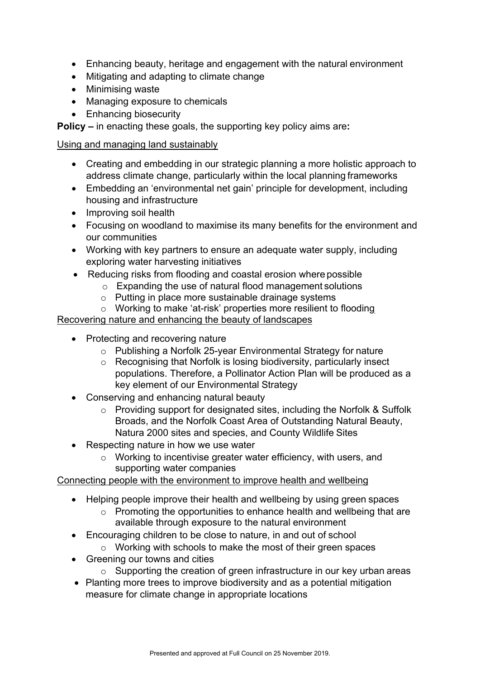- Enhancing beauty, heritage and engagement with the natural environment
- Mitigating and adapting to climate change
- Minimising waste
- Managing exposure to chemicals
- Enhancing biosecurity

**Policy –** in enacting these goals, the supporting key policy aims are**:** 

#### Using and managing land sustainably

- Creating and embedding in our strategic planning a more holistic approach to address climate change, particularly within the local planning frameworks
- Embedding an 'environmental net gain' principle for development, including housing and infrastructure
- Improving soil health
- Focusing on woodland to maximise its many benefits for the environment and our communities
- Working with key partners to ensure an adequate water supply, including exploring water harvesting initiatives
- Reducing risks from flooding and coastal erosion where possible
	- $\circ$  Expanding the use of natural flood management solutions
	- o Putting in place more sustainable drainage systems
	- o Working to make 'at-risk' properties more resilient to flooding

## Recovering nature and enhancing the beauty of landscapes

- Protecting and recovering nature
	- o Publishing a Norfolk 25-year Environmental Strategy for nature
	- o Recognising that Norfolk is losing biodiversity, particularly insect populations. Therefore, a Pollinator Action Plan will be produced as a key element of our Environmental Strategy
- Conserving and enhancing natural beauty
	- o Providing support for designated sites, including the Norfolk & Suffolk Broads, and the Norfolk Coast Area of Outstanding Natural Beauty, Natura 2000 sites and species, and County Wildlife Sites
- Respecting nature in how we use water
	- o Working to incentivise greater water efficiency, with users, and supporting water companies

## Connecting people with the environment to improve health and wellbeing

- Helping people improve their health and wellbeing by using green spaces
	- o Promoting the opportunities to enhance health and wellbeing that are available through exposure to the natural environment
- Encouraging children to be close to nature, in and out of school
	- o Working with schools to make the most of their green spaces
- Greening our towns and cities
	- $\circ$  Supporting the creation of green infrastructure in our key urban areas
- Planting more trees to improve biodiversity and as a potential mitigation measure for climate change in appropriate locations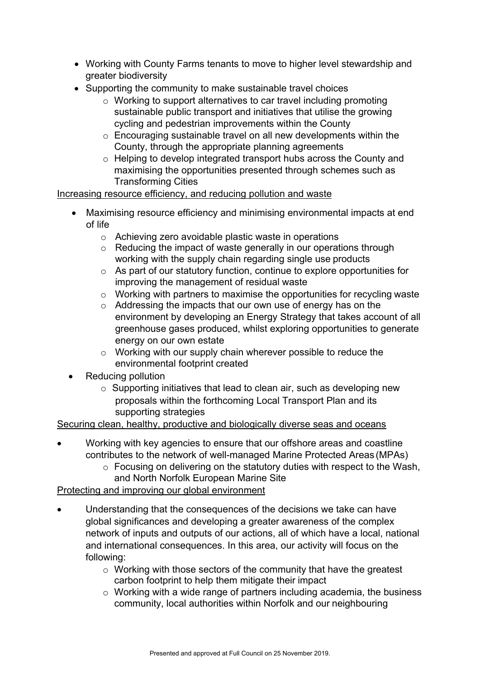- Working with County Farms tenants to move to higher level stewardship and greater biodiversity
- Supporting the community to make sustainable travel choices
	- o Working to support alternatives to car travel including promoting sustainable public transport and initiatives that utilise the growing cycling and pedestrian improvements within the County
	- o Encouraging sustainable travel on all new developments within the County, through the appropriate planning agreements
	- o Helping to develop integrated transport hubs across the County and maximising the opportunities presented through schemes such as Transforming Cities

#### Increasing resource efficiency, and reducing pollution and waste

- Maximising resource efficiency and minimising environmental impacts at end of life
	- o Achieving zero avoidable plastic waste in operations
	- o Reducing the impact of waste generally in our operations through working with the supply chain regarding single use products
	- o As part of our statutory function, continue to explore opportunities for improving the management of residual waste
	- $\circ$  Working with partners to maximise the opportunities for recycling waste
	- o Addressing the impacts that our own use of energy has on the environment by developing an Energy Strategy that takes account of all greenhouse gases produced, whilst exploring opportunities to generate energy on our own estate
	- o Working with our supply chain wherever possible to reduce the environmental footprint created
- Reducing pollution
	- $\circ$  Supporting initiatives that lead to clean air, such as developing new proposals within the forthcoming Local Transport Plan and its supporting strategies

## Securing clean, healthy, productive and biologically diverse seas and oceans

- Working with key agencies to ensure that our offshore areas and coastline contributes to the network of well-managed Marine Protected Areas (MPAs)
	- o Focusing on delivering on the statutory duties with respect to the Wash, and North Norfolk European Marine Site

## Protecting and improving our global environment

- Understanding that the consequences of the decisions we take can have global significances and developing a greater awareness of the complex network of inputs and outputs of our actions, all of which have a local, national and international consequences. In this area, our activity will focus on the following:
	- o Working with those sectors of the community that have the greatest carbon footprint to help them mitigate their impact
	- o Working with a wide range of partners including academia, the business community, local authorities within Norfolk and our neighbouring